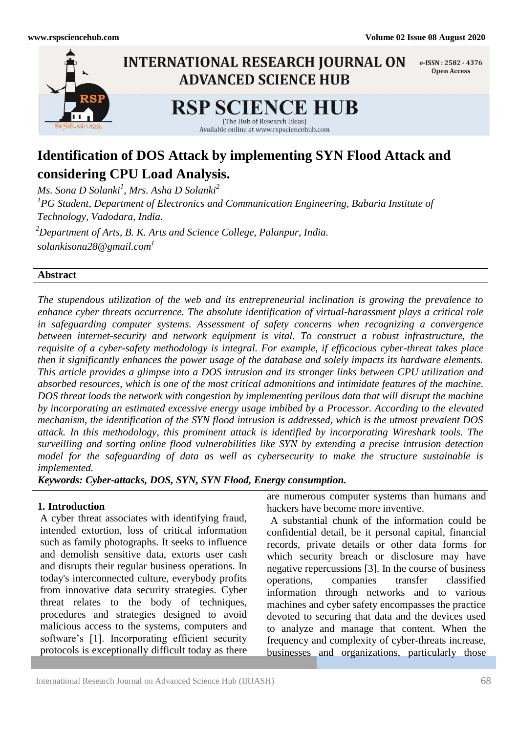l



# **Identification of DOS Attack by implementing SYN Flood Attack and considering CPU Load Analysis.**

*Ms. Sona D Solanki<sup>1</sup> , Mrs. Asha D Solanki<sup>2</sup> 1 PG Student, Department of Electronics and Communication Engineering, Babaria Institute of Technology, Vadodara, India. <sup>2</sup>Department of Arts, B. K. Arts and Science College, Palanpur, India. [solankisona28@gmail.com](mailto:anurekha096@gmail.com1)<sup>1</sup>*

#### **Abstract**

*The stupendous utilization of the web and its entrepreneurial inclination is growing the prevalence to enhance cyber threats occurrence. The absolute identification of virtual-harassment plays a critical role in safeguarding computer systems. Assessment of safety concerns when recognizing a convergence between internet-security and network equipment is vital. To construct a robust infrastructure, the requisite of a cyber-safety methodology is integral. For example, if efficacious cyber-threat takes place then it significantly enhances the power usage of the database and solely impacts its hardware elements. This article provides a glimpse into a DOS intrusion and its stronger links between CPU utilization and absorbed resources, which is one of the most critical admonitions and intimidate features of the machine. DOS threat loads the network with congestion by implementing perilous data that will disrupt the machine by incorporating an estimated excessive energy usage imbibed by a Processor. According to the elevated mechanism, the identification of the SYN flood intrusion is addressed, which is the utmost prevalent DOS attack. In this methodology, this prominent attack is identified by incorporating Wireshark tools. The surveilling and sorting online flood vulnerabilities like SYN by extending a precise intrusion detection model for the safeguarding of data as well as cybersecurity to make the structure sustainable is implemented.*

*Keywords: Cyber-attacks, DOS, SYN, SYN Flood, Energy consumption.*

#### **1. Introduction**

A cyber threat associates with identifying fraud, intended extortion, loss of critical information such as family photographs. It seeks to influence and demolish sensitive data, extorts user cash and disrupts their regular business operations. In today's interconnected culture, everybody profits from innovative data security strategies. Cyber threat relates to the body of techniques, procedures and strategies designed to avoid malicious access to the systems, computers and software's [1]. Incorporating efficient security protocols is exceptionally difficult today as there

are numerous computer systems than humans and hackers have become more inventive.

A substantial chunk of the information could be confidential detail, be it personal capital, financial records, private details or other data forms for which security breach or disclosure may have negative repercussions [3]. In the course of business operations, companies transfer classified information through networks and to various machines and cyber safety encompasses the practice devoted to securing that data and the devices used to analyze and manage that content. When the frequency and complexity of cyber-threats increase, businesses and organizations, particularly those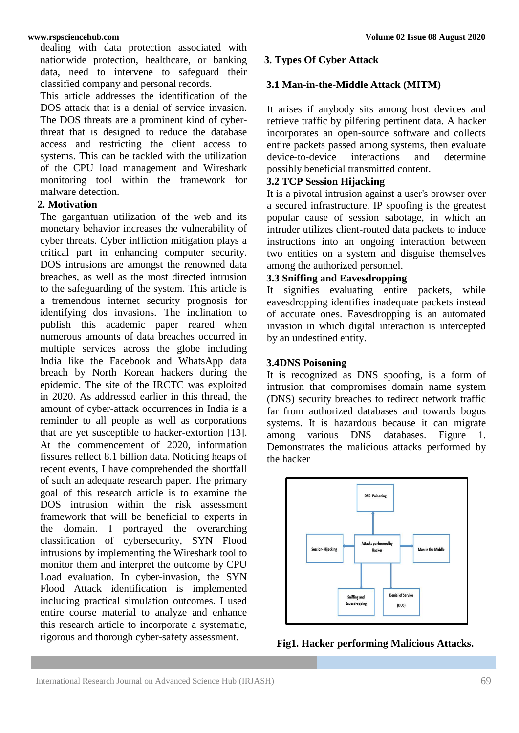dealing with data protection associated with nationwide protection, healthcare, or banking data, need to intervene to safeguard their classified company and personal records.

This article addresses the identification of the DOS attack that is a denial of service invasion. The DOS threats are a prominent kind of cyberthreat that is designed to reduce the database access and restricting the client access to systems. This can be tackled with the utilization of the CPU load management and Wireshark monitoring tool within the framework for malware detection.

### **2. Motivation**

The gargantuan utilization of the web and its monetary behavior increases the vulnerability of cyber threats. Cyber infliction mitigation plays a critical part in enhancing computer security. DOS intrusions are amongst the renowned data breaches, as well as the most directed intrusion to the safeguarding of the system. This article is a tremendous internet security prognosis for identifying dos invasions. The inclination to publish this academic paper reared when numerous amounts of data breaches occurred in multiple services across the globe including India like the Facebook and WhatsApp data breach by North Korean hackers during the epidemic. The site of the IRCTC was exploited in 2020. As addressed earlier in this thread, the amount of cyber-attack occurrences in India is a reminder to all people as well as corporations that are yet susceptible to hacker-extortion [13]. At the commencement of 2020, information fissures reflect 8.1 billion data. Noticing heaps of recent events, I have comprehended the shortfall of such an adequate research paper. The primary goal of this research article is to examine the DOS intrusion within the risk assessment framework that will be beneficial to experts in the domain. I portrayed the overarching classification of cybersecurity, SYN Flood intrusions by implementing the Wireshark tool to monitor them and interpret the outcome by CPU Load evaluation. In cyber-invasion, the SYN Flood Attack identification is implemented including practical simulation outcomes. I used entire course material to analyze and enhance this research article to incorporate a systematic, rigorous and thorough cyber-safety assessment.

#### **3. Types Of Cyber Attack**

#### **3.1 Man-in-the-Middle Attack (MITM)**

It arises if anybody sits among host devices and retrieve traffic by pilfering pertinent data. A hacker incorporates an open-source software and collects entire packets passed among systems, then evaluate device-to-device interactions and determine possibly beneficial transmitted content.

#### **3.2 TCP Session Hijacking**

It is a pivotal intrusion against a user's browser over a secured infrastructure. IP spoofing is the greatest popular cause of session sabotage, in which an intruder utilizes client-routed data packets to induce instructions into an ongoing interaction between two entities on a system and disguise themselves among the authorized personnel.

# **3.3 Sniffing and Eavesdropping**

It signifies evaluating entire packets, while eavesdropping identifies inadequate packets instead of accurate ones. Eavesdropping is an automated invasion in which digital interaction is intercepted by an undestined entity.

#### **3.4DNS Poisoning**

It is recognized as DNS spoofing, is a form of intrusion that compromises domain name system (DNS) security breaches to redirect network traffic far from authorized databases and towards bogus systems. It is hazardous because it can migrate among various DNS databases. Figure 1. Demonstrates the malicious attacks performed by the hacker



**Fig1. Hacker performing Malicious Attacks.**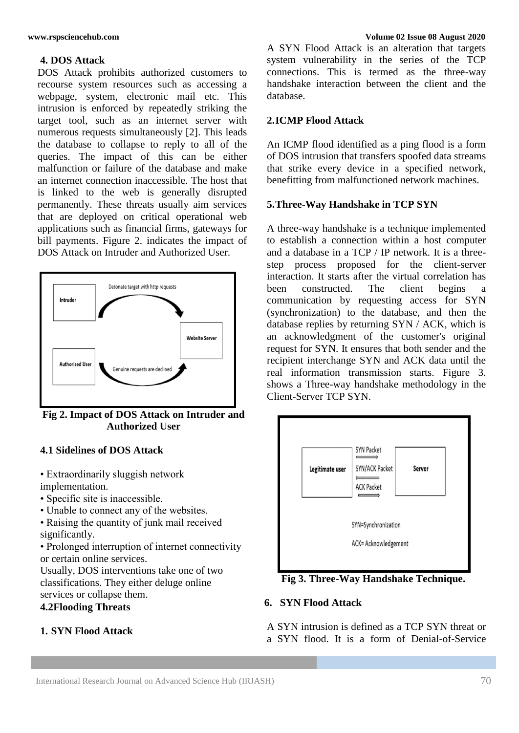# **4. DOS Attack**

DOS Attack prohibits authorized customers to recourse system resources such as accessing a webpage, system, electronic mail etc. This intrusion is enforced by repeatedly striking the target tool, such as an internet server with numerous requests simultaneously [2]. This leads the database to collapse to reply to all of the queries. The impact of this can be either malfunction or failure of the database and make an internet connection inaccessible. The host that is linked to the web is generally disrupted permanently. These threats usually aim services that are deployed on critical operational web applications such as financial firms, gateways for bill payments. Figure 2. indicates the impact of DOS Attack on Intruder and Authorized User.



**Fig 2. Impact of DOS Attack on Intruder and Authorized User**

# **4.1 Sidelines of DOS Attack**

- Extraordinarily sluggish network implementation.
- Specific site is inaccessible.
- Unable to connect any of the websites.
- Raising the quantity of junk mail received significantly.

• Prolonged interruption of internet connectivity or certain online services.

Usually, DOS interventions take one of two classifications. They either deluge online services or collapse them.

### **4.2Flooding Threats**

# **1. SYN Flood Attack**

#### **www.rspsciencehub.com Volume 02 Issue 08 August 2020**

A SYN Flood Attack is an alteration that targets system vulnerability in the series of the TCP connections. This is termed as the three-way handshake interaction between the client and the database.

### **2.ICMP Flood Attack**

An ICMP flood identified as a ping flood is a form of DOS intrusion that transfers spoofed data streams that strike every device in a specified network, benefitting from malfunctioned network machines.

# **5.Three-Way Handshake in TCP SYN**

A three-way handshake is a technique implemented to establish a connection within a host computer and a database in a TCP / IP network. It is a threestep process proposed for the client-server interaction. It starts after the virtual correlation has been constructed. The client begins a communication by requesting access for SYN (synchronization) to the database, and then the database replies by returning SYN / ACK, which is an acknowledgment of the customer's original request for SYN. It ensures that both sender and the recipient interchange SYN and ACK data until the real information transmission starts. Figure 3. shows a Three-way handshake methodology in the Client-Server TCP SYN.



**Fig 3. Three-Way Handshake Technique.**

#### **6. SYN Flood Attack**

 A SYN intrusion is defined as a TCP SYN threat or a SYN flood. It is a form of Denial-of-Service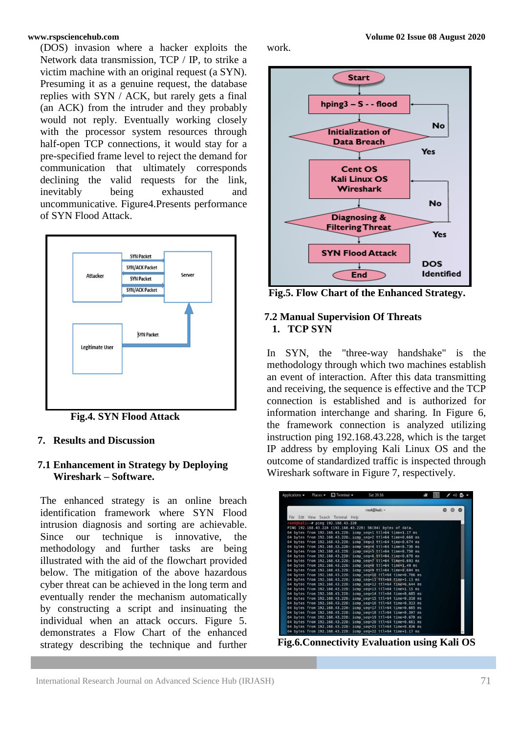(DOS) invasion where a hacker exploits the Network data transmission, TCP / IP, to strike a victim machine with an original request (a SYN). Presuming it as a genuine request, the database replies with SYN / ACK, but rarely gets a final (an ACK) from the intruder and they probably would not reply. Eventually working closely with the processor system resources through half-open TCP connections, it would stay for a pre-specified frame level to reject the demand for communication that ultimately corresponds declining the valid requests for the link, inevitably being exhausted and uncommunicative. Figure4.Presents performance of SYN Flood Attack.



 **Fig.4. SYN Flood Attack**

# **7. Results and Discussion**

### **7.1 Enhancement in Strategy by Deploying Wireshark – Software.**

The enhanced strategy is an online breach identification framework where SYN Flood intrusion diagnosis and sorting are achievable. Since our technique is innovative, the methodology and further tasks are being illustrated with the aid of the flowchart provided below. The mitigation of the above hazardous cyber threat can be achieved in the long term and eventually render the mechanism automatically by constructing a script and insinuating the individual when an attack occurs. Figure 5. demonstrates a Flow Chart of the enhanced strategy describing the technique and further



work.

 **Fig.5. Flow Chart of the Enhanced Strategy.**

### **7.2 Manual Supervision Of Threats 1. TCP SYN**

In SYN, the "three-way handshake" is the methodology through which two machines establish an event of interaction. After this data transmitting and receiving, the sequence is effective and the TCP connection is established and is authorized for information interchange and sharing. In Figure 6, the framework connection is analyzed utilizing instruction ping 192.168.43.228, which is the target IP address by employing Kali Linux OS and the outcome of standardized traffic is inspected through Wireshark software in Figure 7, respectively.

|  | Applications $\blacktriangleright$ Places $\blacktriangleright$ $\Box$ Terminal $\blacktriangleright$ | Sat 20:16                                                      | ä, |            |
|--|-------------------------------------------------------------------------------------------------------|----------------------------------------------------------------|----|------------|
|  |                                                                                                       | root@kali: ~                                                   |    | $\bigcirc$ |
|  | File Edit View Search Terminal Help                                                                   |                                                                |    |            |
|  | root@kali:~# ping 192.168.43.228                                                                      |                                                                |    |            |
|  |                                                                                                       | PING 192.168.43.228 (192.168.43.228) 56(84) bytes of data.     |    |            |
|  |                                                                                                       | 64 bytes from 192.168.43.228: icmp seq=1 ttl=64 time=1.17 ms   |    |            |
|  |                                                                                                       | 64 bytes from 192.168.43.228: icmp seq=2 ttl=64 time=0.660 ms  |    |            |
|  |                                                                                                       | 64 bytes from 192.168.43.228: icmp seq=3 ttl=64 time=0.674 ms  |    |            |
|  |                                                                                                       | 64 bytes from 192.168.43.228: icmp seq=4 ttl=64 time=0.736 ms  |    |            |
|  |                                                                                                       | 64 bytes from 192.168.43.228: icmp seq=5 ttl=64 time=0.750 ms  |    |            |
|  |                                                                                                       | 64 bytes from 192.168.43.228: icmp seq=6 ttl=64 time=0.678 ms  |    |            |
|  |                                                                                                       | 64 bytes from 192.168.43.228: icmp seq=7 ttl=64 time=0.693 ms  |    |            |
|  |                                                                                                       | 64 bytes from 192.168.43.228: icmp seq=8 ttl=64 time=1.49 ms   |    |            |
|  |                                                                                                       | 64 bytes from 192.168.43.228: icmp seq=9 ttl=64 time=0.684 ms  |    |            |
|  |                                                                                                       | 64 bytes from 192.168.43.228: icmp seq=10 ttl=64 time=0.766 ms |    |            |
|  |                                                                                                       | 64 bytes from 192.168.43.228: icmp seq=11 ttl=64 time=1.13 ms  |    |            |
|  |                                                                                                       | 64 bytes from 192.168.43.228: icmp seq=12 ttl=64 time=0.644 ms |    |            |
|  |                                                                                                       | 64 bytes from 192.168.43.228: icmp seq=13 ttl=64 time=1.15 ms  |    |            |
|  |                                                                                                       | 64 bytes from 192.168.43.228: icmp seq=14 ttl=64 time=0.685 ms |    |            |
|  |                                                                                                       | 64 bytes from 192.168.43.228: icmp seq=15 ttl=64 time=0.318 ms |    |            |
|  |                                                                                                       | 64 bytes from 192.168.43.228: icmp seq=16 ttl=64 time=0.313 ms |    |            |
|  |                                                                                                       | 64 bytes from 192.168.43.228: icmp seq=17 ttl=64 time=0.665 ms |    |            |
|  |                                                                                                       | 64 bytes from 192.168.43.228: icmp seq=18 ttl=64 time=0.397 ms |    |            |
|  |                                                                                                       | 64 bytes from 192.168.43.228: icmp seq=19 ttl=64 time=0.678 ms |    |            |
|  |                                                                                                       | 64 bytes from 192.168.43.228: icmp seq=20 ttl=64 time=0.661 ms |    |            |
|  |                                                                                                       | 64 bytes from 192.168.43.228: icmp seq=21 ttl=64 time=0.836 ms |    |            |
|  |                                                                                                       | 64 bytes from 192.168.43.228: icmp seq=22 ttl=64 time=1.17 ms  |    |            |

**Fig.6.Connectivity Evaluation using Kali OS**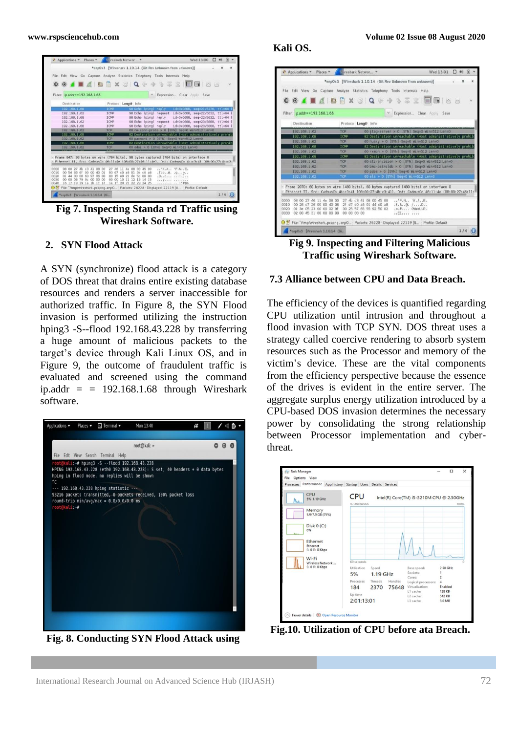

**Fig 7. Inspecting Standa rd Traffic using Wireshark Software.**

#### **2. SYN Flood Attack**

A SYN (synchronize) flood attack is a category of DOS threat that drains entire existing database resources and renders a server inaccessible for authorized traffic. In Figure 8, the SYN Flood invasion is performed utilizing the instruction hping3 -S--flood 192.168.43.228 by transferring a huge amount of malicious packets to the target's device through Kali Linux OS, and in Figure 9, the outcome of fraudulent traffic is evaluated and screened using the command ip.addr =  $= 192.168.1.68$  through Wireshark software.



**Fig. 8. Conducting SYN Flood Attack using** 

#### **Kali OS.**



**Fig 9. Inspecting and Filtering Malicious Traffic using Wireshark Software.**

#### **7.3 Alliance between CPU and Data Breach.**

The efficiency of the devices is quantified regarding CPU utilization until intrusion and throughout a flood invasion with TCP SYN. DOS threat uses a strategy called coercive rendering to absorb system resources such as the Processor and memory of the victim's device. These are the vital components from the efficiency perspective because the essence of the drives is evident in the entire server. The aggregate surplus energy utilization introduced by a CPU-based DOS invasion determines the necessary power by consolidating the strong relationship between Processor implementation and cyberthreat.



**Fig.10. Utilization of CPU before ata Breach.**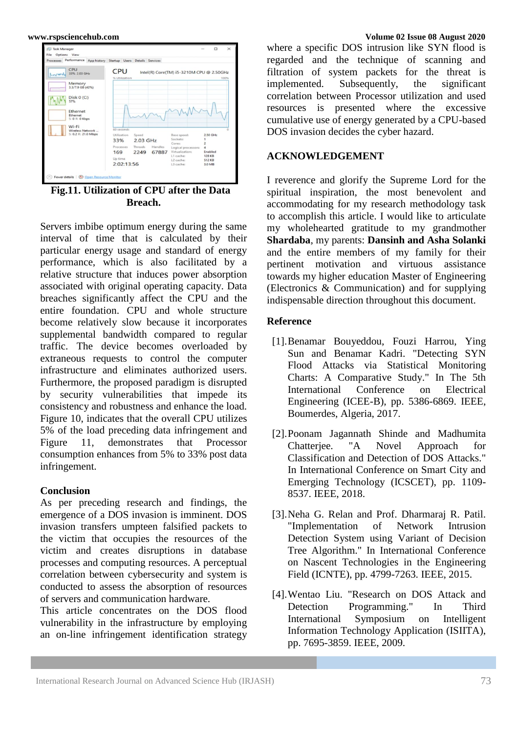

**Fig.11. Utilization of CPU after the Data Breach.**

Servers imbibe optimum energy during the same interval of time that is calculated by their particular energy usage and standard of energy performance, which is also facilitated by a relative structure that induces power absorption associated with original operating capacity. Data breaches significantly affect the CPU and the entire foundation. CPU and whole structure become relatively slow because it incorporates supplemental bandwidth compared to regular traffic. The device becomes overloaded by extraneous requests to control the computer infrastructure and eliminates authorized users. Furthermore, the proposed paradigm is disrupted by security vulnerabilities that impede its consistency and robustness and enhance the load. Figure 10, indicates that the overall CPU utilizes 5% of the load preceding data infringement and Figure 11, demonstrates that Processor consumption enhances from 5% to 33% post data infringement.

#### **Conclusion**

As per preceding research and findings, the emergence of a DOS invasion is imminent. DOS invasion transfers umpteen falsified packets to the victim that occupies the resources of the victim and creates disruptions in database processes and computing resources. A perceptual correlation between cybersecurity and system is conducted to assess the absorption of resources of servers and communication hardware.

This article concentrates on the DOS flood vulnerability in the infrastructure by employing an on-line infringement identification strategy

#### **www.rspsciencehub.com Volume 02 Issue 08 August 2020**

where a specific DOS intrusion like SYN flood is regarded and the technique of scanning and filtration of system packets for the threat is implemented. Subsequently, the significant correlation between Processor utilization and used resources is presented where the excessive cumulative use of energy generated by a CPU-based DOS invasion decides the cyber hazard.

#### **ACKNOWLEDGEMENT**

I reverence and glorify the Supreme Lord for the spiritual inspiration, the most benevolent and accommodating for my research methodology task to accomplish this article. I would like to articulate my wholehearted gratitude to my grandmother **Shardaba**, my parents: **Dansinh and Asha Solanki** and the entire members of my family for their pertinent motivation and virtuous assistance towards my higher education Master of Engineering (Electronics & Communication) and for supplying indispensable direction throughout this document.

#### **Reference**

- [1].Benamar Bouyeddou, Fouzi Harrou, Ying Sun and Benamar Kadri. "Detecting SYN Flood Attacks via Statistical Monitoring Charts: A Comparative Study." In The 5th International Conference on Electrical Engineering (ICEE-B), pp. 5386-6869. IEEE, Boumerdes, Algeria, 2017.
- [2].Poonam Jagannath Shinde and Madhumita Chatterjee. "A Novel Approach for Classification and Detection of DOS Attacks." In International Conference on Smart City and Emerging Technology (ICSCET), pp. 1109- 8537. IEEE, 2018.
- [3].Neha G. Relan and Prof. Dharmaraj R. Patil. "Implementation of Network Intrusion Detection System using Variant of Decision Tree Algorithm." In International Conference on Nascent Technologies in the Engineering Field (ICNTE), pp. 4799-7263. IEEE, 2015.
- [4].Wentao Liu. "Research on DOS Attack and Detection Programming." In Third International Symposium on Intelligent Information Technology Application (ISIITA), pp. 7695-3859. IEEE, 2009.